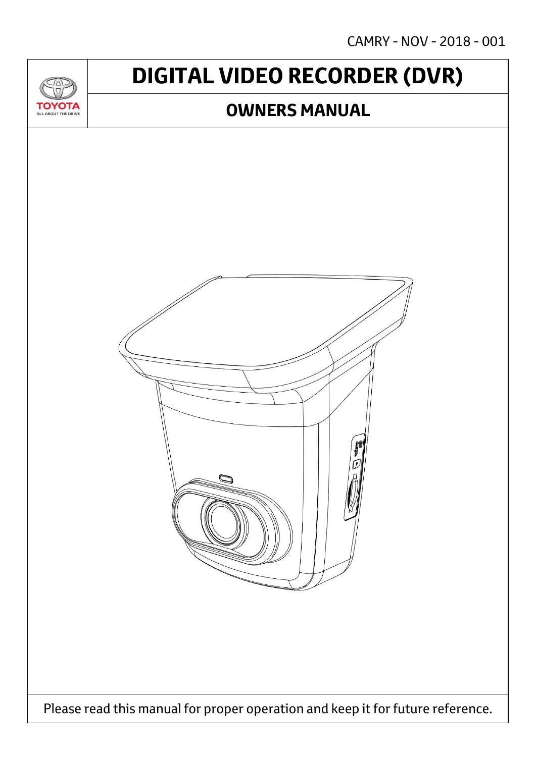CAMRY - NOV - 2018 - 001

## **DIGITAL VIDEO RECORDER (DVR)**

### **OWNERS MANUAL**

ΌΤΔ

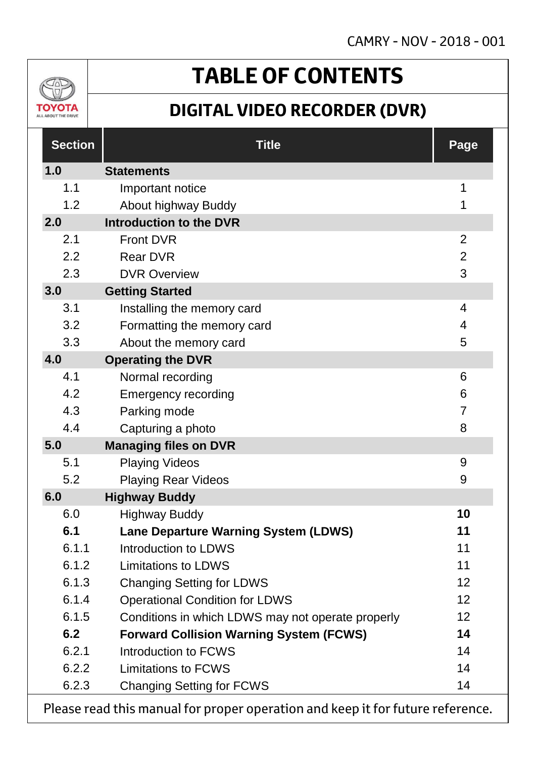

# **TABLE OF CONTENTS**

### **DIGITAL VIDEO RECORDER (DVR)**

| <b>Section</b> | <b>Title</b>                                                              | Page           |
|----------------|---------------------------------------------------------------------------|----------------|
| 1.0            | <b>Statements</b>                                                         |                |
| 1.1            | Important notice                                                          | 1              |
| 1.2            | About highway Buddy                                                       | 1              |
| 2.0            | <b>Introduction to the DVR</b>                                            |                |
| 2.1            | <b>Front DVR</b>                                                          | 2              |
| 2.2            | <b>Rear DVR</b>                                                           | $\overline{2}$ |
| 2.3            | <b>DVR Overview</b>                                                       | 3              |
| 3.0            | <b>Getting Started</b>                                                    |                |
| 3.1            | Installing the memory card                                                | $\overline{4}$ |
| 3.2            | Formatting the memory card                                                | 4              |
| 3.3            | About the memory card                                                     | 5              |
| 4.0            | <b>Operating the DVR</b>                                                  |                |
| 4.1            | Normal recording                                                          | 6              |
| 4.2            | <b>Emergency recording</b>                                                | 6              |
| 4.3            | Parking mode                                                              | $\overline{7}$ |
| 4.4            | Capturing a photo                                                         | 8              |
| 5.0            | <b>Managing files on DVR</b>                                              |                |
| 5.1            | <b>Playing Videos</b>                                                     | 9              |
| 5.2            | <b>Playing Rear Videos</b>                                                | 9              |
| 6.0            | <b>Highway Buddy</b>                                                      |                |
| 6.0            | <b>Highway Buddy</b>                                                      | 10             |
| 6.1            | <b>Lane Departure Warning System (LDWS)</b>                               | 11             |
| 6.1.1          | Introduction to LDWS                                                      | 11             |
| 6.1.2          | <b>Limitations to LDWS</b>                                                | 11             |
| 6.1.3          | <b>Changing Setting for LDWS</b>                                          | 12             |
| 6.1.4          | <b>Operational Condition for LDWS</b>                                     | 12             |
| 6.1.5          | Conditions in which LDWS may not operate properly                         | 12             |
| 6.2            | <b>Forward Collision Warning System (FCWS)</b>                            | 14             |
| 6.2.1          | Introduction to FCWS                                                      | 14             |
| 6.2.2          | <b>Limitations to FCWS</b>                                                | 14             |
| 6.2.3          | <b>Changing Setting for FCWS</b>                                          | 14             |
|                | Descended this monual for proper enoughlen and keep it for future referen |                |

Please read this manual for proper operation and keep it for future reference.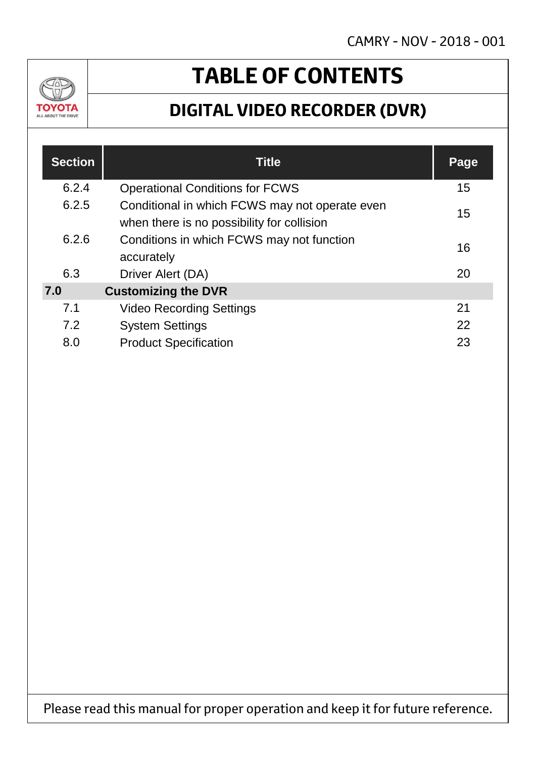

# **TABLE OF CONTENTS**

### **DIGITAL VIDEO RECORDER (DVR)**

| <b>Section</b> | <b>Title</b>                                                                                 | Page |
|----------------|----------------------------------------------------------------------------------------------|------|
| 6.2.4          | <b>Operational Conditions for FCWS</b>                                                       | 15   |
| 6.2.5          | Conditional in which FCWS may not operate even<br>when there is no possibility for collision | 15   |
| 6.2.6          | Conditions in which FCWS may not function<br>accurately                                      | 16   |
| 6.3            | Driver Alert (DA)                                                                            | 20   |
| 7.0            | <b>Customizing the DVR</b>                                                                   |      |
| 7.1            | <b>Video Recording Settings</b>                                                              | 21   |
| 7.2            | <b>System Settings</b>                                                                       | 22   |
| 8.0            | <b>Product Specification</b>                                                                 | 23   |

Please read this manual for proper operation and keep it for future reference.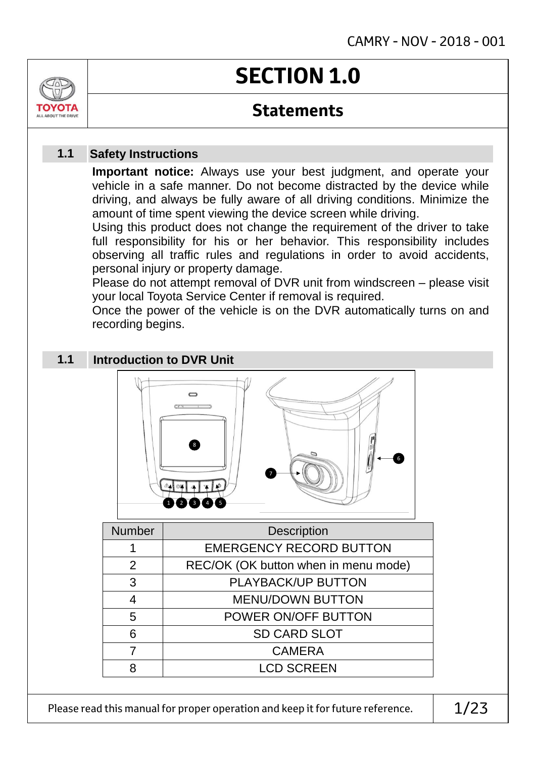

### **Statements**

#### **Safety Instructions 1.1**

**Important notice:** Always use your best judgment, and operate your vehicle in a safe manner. Do not become distracted by the device while driving, and always be fully aware of all driving conditions. Minimize the amount of time spent viewing the device screen while driving.

Using this product does not change the requirement of the driver to take full responsibility for his or her behavior. This responsibility includes observing all traffic rules and regulations in order to avoid accidents, personal injury or property damage.

Please do not attempt removal of DVR unit from windscreen – please visit your local Toyota Service Center if removal is required.

Once the power of the vehicle is on the DVR automatically turns on and recording begins.

#### **Introduction to DVR Unit 1.1**



| <b>Number</b> | <b>Description</b>                   |
|---------------|--------------------------------------|
|               | <b>EMERGENCY RECORD BUTTON</b>       |
| 2             | REC/OK (OK button when in menu mode) |
| 3             | PLAYBACK/UP BUTTON                   |
| 4             | <b>MENU/DOWN BUTTON</b>              |
| 5             | POWER ON/OFF BUTTON                  |
| ิธ            | <b>SD CARD SLOT</b>                  |
|               | <b>CAMERA</b>                        |
|               | <b>LCD SCREEN</b>                    |

Please read this manual for proper operation and keep it for future reference.  $1/23$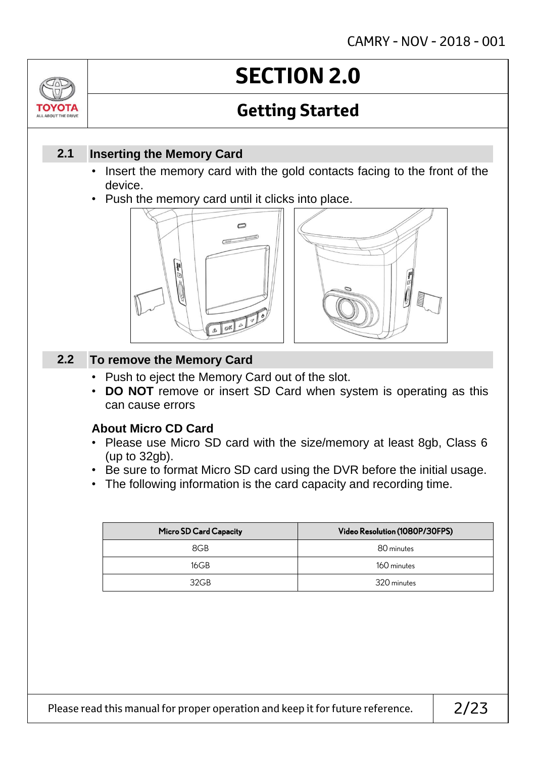

# **SECTION 2.0**

## **Getting Started**

### **Inserting the Memory Card 2.1**

- Insert the memory card with the gold contacts facing to the front of the device.
- Push the memory card until it clicks into place.





#### **To remove the Memory Card 2.2**

- Push to eject the Memory Card out of the slot.
- **DO NOT** remove or insert SD Card when system is operating as this can cause errors

### **About Micro CD Card**

- Please use Micro SD card with the size/memory at least 8gb, Class 6 (up to 32gb).
- Be sure to format Micro SD card using the DVR before the initial usage.
- The following information is the card capacity and recording time.

| Micro SD Card Capacity | Video Resolution (1080P/30FPS) |
|------------------------|--------------------------------|
| 8GB                    | 80 minutes                     |
| 16GB                   | 160 minutes                    |
| 32GB                   | 320 minutes                    |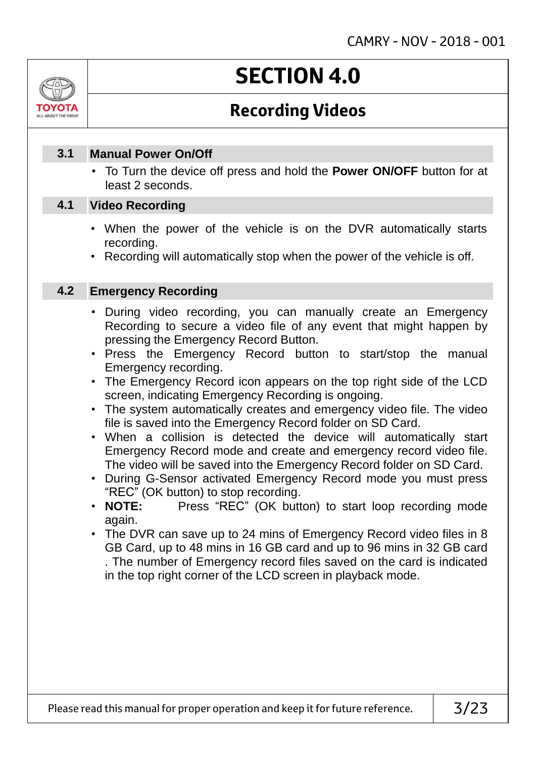

# **SECTION 4.0**

### **Recording Videos**

#### **Manual Power On/Off 3.1**

• To Turn the device off press and hold the **Power ON/OFF** button for at least 2 seconds.

#### **Video Recording 4.1**

- When the power of the vehicle is on the DVR automatically starts recording.
- Recording will automatically stop when the power of the vehicle is off.

#### **Emergency Recording 4.2**

- During video recording, you can manually create an Emergency Recording to secure a video file of any event that might happen by pressing the Emergency Record Button.
- Press the Emergency Record button to start/stop the manual Emergency recording.
- The Emergency Record icon appears on the top right side of the LCD screen, indicating Emergency Recording is ongoing.
- The system automatically creates and emergency video file. The video file is saved into the Emergency Record folder on SD Card.
- When a collision is detected the device will automatically start Emergency Record mode and create and emergency record video file. The video will be saved into the Emergency Record folder on SD Card.
- During G-Sensor activated Emergency Record mode you must press "REC" (OK button) to stop recording.<br>• **NOTE:** Press "REC" (OK butt
- Press "REC" (OK button) to start loop recording mode again.
- The DVR can save up to 24 mins of Emergency Record video files in 8 GB Card, up to 48 mins in 16 GB card and up to 96 mins in 32 GB card . The number of Emergency record files saved on the card is indicated in the top right corner of the LCD screen in playback mode.

Please read this manual for proper operation and keep it for future reference.  $\vert$  3/23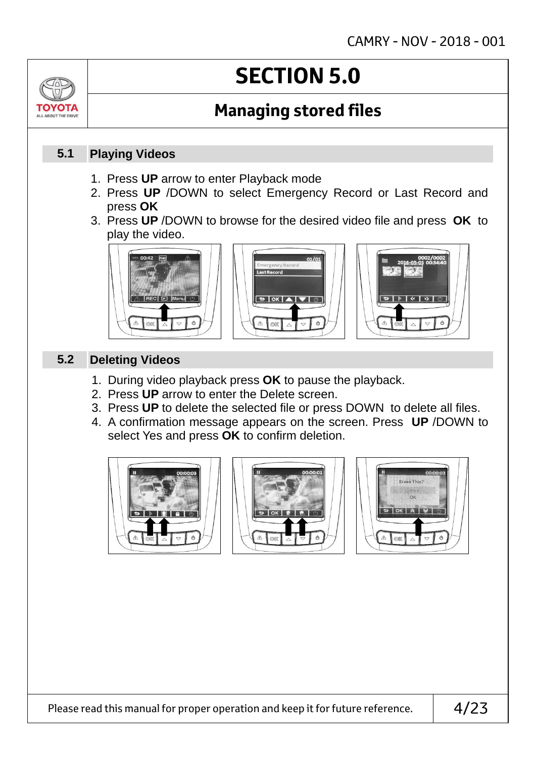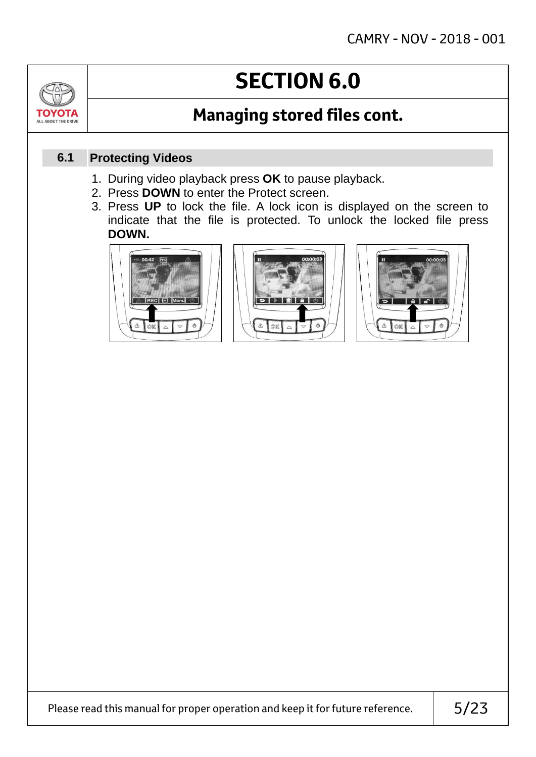# **SECTION 6.0**

### **Managing stored files cont.**

#### **Protecting Videos 6.1**

- 1. During video playback press **OK** to pause playback.
- 2. Press **DOWN** to enter the Protect screen.
- 3. Press **UP** to lock the file. A lock icon is displayed on the screen to indicate that the file is protected. To unlock the locked file press **DOWN.**





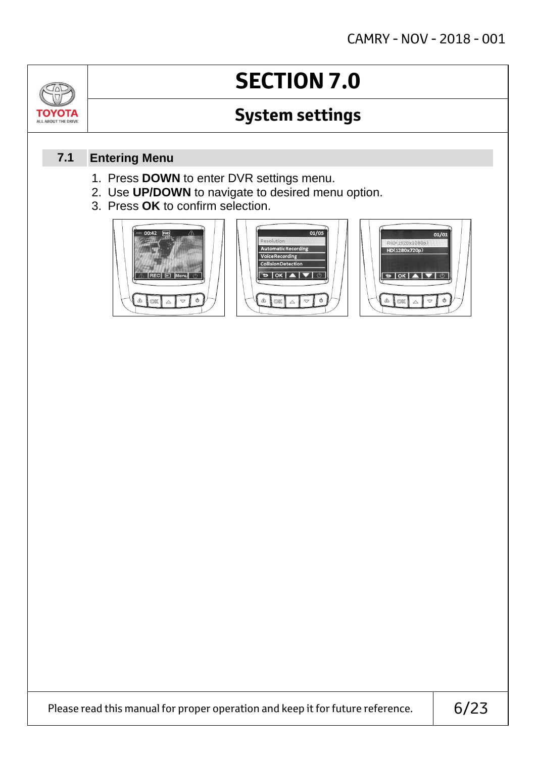# **SECTION 7.0**

### **System settings**

#### **Entering Menu 7.1**

ΤΟΥΟΤ/

- 1. Press **DOWN** to enter DVR settings menu.
- 2. Use **UP/DOWN** to navigate to desired menu option.
- 3. Press **OK** to confirm selection.